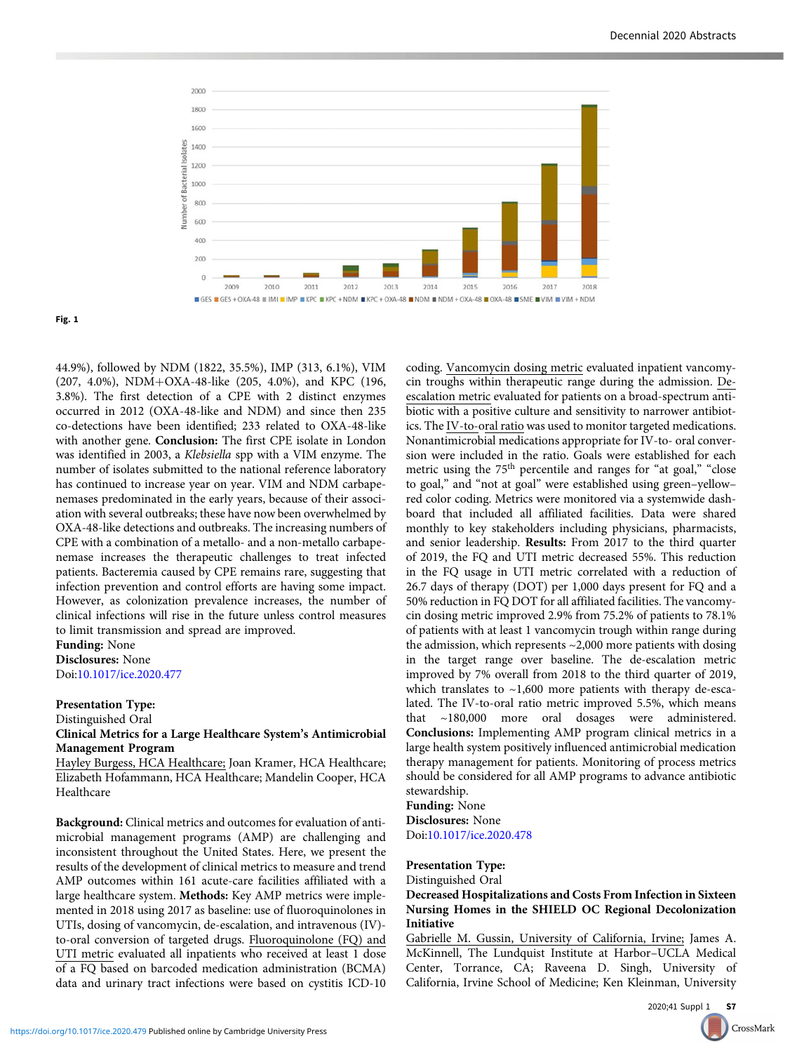

Fig. 1

44.9%), followed by NDM (1822, 35.5%), IMP (313, 6.1%), VIM (207, 4.0%), NDM+OXA-48-like (205, 4.0%), and KPC (196, 3.8%). The first detection of a CPE with 2 distinct enzymes occurred in 2012 (OXA-48-like and NDM) and since then 235 co-detections have been identified; 233 related to OXA-48-like with another gene. **Conclusion:** The first CPE isolate in London was identified in 2003, a Klebsiella spp with a VIM enzyme. The number of isolates submitted to the national reference laboratory has continued to increase year on year. VIM and NDM carbapenemases predominated in the early years, because of their association with several outbreaks; these have now been overwhelmed by OXA-48-like detections and outbreaks. The increasing numbers of CPE with a combination of a metallo- and a non-metallo carbapenemase increases the therapeutic challenges to treat infected patients. Bacteremia caused by CPE remains rare, suggesting that infection prevention and control efforts are having some impact. However, as colonization prevalence increases, the number of clinical infections will rise in the future unless control measures to limit transmission and spread are improved.

Funding: None

Disclosures: None Doi[:10.1017/ice.2020.477](https://doi.org/10.1017/ice.2020.477)

### Presentation Type:

#### Distinguished Oral

Clinical Metrics for a Large Healthcare System's Antimicrobial Management Program

Hayley Burgess, HCA Healthcare; Joan Kramer, HCA Healthcare; Elizabeth Hofammann, HCA Healthcare; Mandelin Cooper, HCA Healthcare

Background: Clinical metrics and outcomes for evaluation of antimicrobial management programs (AMP) are challenging and inconsistent throughout the United States. Here, we present the results of the development of clinical metrics to measure and trend AMP outcomes within 161 acute-care facilities affiliated with a large healthcare system. Methods: Key AMP metrics were implemented in 2018 using 2017 as baseline: use of fluoroquinolones in UTIs, dosing of vancomycin, de-escalation, and intravenous (IV) to-oral conversion of targeted drugs. Fluoroquinolone (FQ) and UTI metric evaluated all inpatients who received at least 1 dose of a FQ based on barcoded medication administration (BCMA) data and urinary tract infections were based on cystitis ICD-10 coding. Vancomycin dosing metric evaluated inpatient vancomycin troughs within therapeutic range during the admission. Deescalation metric evaluated for patients on a broad-spectrum antibiotic with a positive culture and sensitivity to narrower antibiotics. The IV-to-oral ratio was used to monitor targeted medications. Nonantimicrobial medications appropriate for IV-to- oral conversion were included in the ratio. Goals were established for each metric using the 75<sup>th</sup> percentile and ranges for "at goal," "close to goal," and "not at goal" were established using green–yellow– red color coding. Metrics were monitored via a systemwide dashboard that included all affiliated facilities. Data were shared monthly to key stakeholders including physicians, pharmacists, and senior leadership. Results: From 2017 to the third quarter of 2019, the FQ and UTI metric decreased 55%. This reduction in the FQ usage in UTI metric correlated with a reduction of 26.7 days of therapy (DOT) per 1,000 days present for FQ and a 50% reduction in FQ DOT for all affiliated facilities. The vancomycin dosing metric improved 2.9% from 75.2% of patients to 78.1% of patients with at least 1 vancomycin trough within range during the admission, which represents ~2,000 more patients with dosing in the target range over baseline. The de-escalation metric improved by 7% overall from 2018 to the third quarter of 2019, which translates to ~1,600 more patients with therapy de-escalated. The IV-to-oral ratio metric improved 5.5%, which means that ~180,000 more oral dosages were administered. Conclusions: Implementing AMP program clinical metrics in a large health system positively influenced antimicrobial medication therapy management for patients. Monitoring of process metrics should be considered for all AMP programs to advance antibiotic stewardship.

Funding: None Disclosures: None Doi[:10.1017/ice.2020.478](https://doi.org/10.1017/ice.2020.478)

# Presentation Type:

Distinguished Oral

# Decreased Hospitalizations and Costs From Infection in Sixteen Nursing Homes in the SHIELD OC Regional Decolonization Initiative

Gabrielle M. Gussin, University of California, Irvine; James A. McKinnell, The Lundquist Institute at Harbor–UCLA Medical Center, Torrance, CA; Raveena D. Singh, University of California, Irvine School of Medicine; Ken Kleinman, University

CrossMark